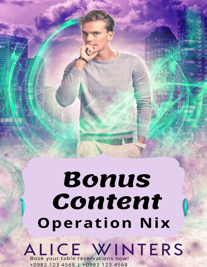## Bonus Content **Operation Nix**

**ALICE WINTERS** +0982 123 4568 | +0983 123 4568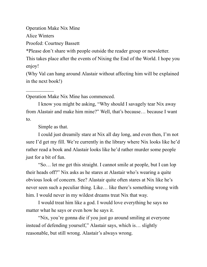Operation Make Nix Mine

Alice Winters

 $\mathcal{L}_\text{max}$ 

Proofed: Courtney Bassett

\*Please don't share with people outside the reader group or newsletter.

This takes place after the events of Nixing the End of the World. I hope you enjoy!

(Why Val can hang around Alastair without affecting him will be explained in the next book!)

Operation Make Nix Mine has commenced.

I know you might be asking, "Why should I savagely tear Nix away from Alastair and make him mine?" Well, that's because… because I want to.

Simple as that.

I could just dreamily stare at Nix all day long, and even then, I'm not sure I'd get my fill. We're currently in the library where Nix looks like he'd rather read a book and Alastair looks like he'd rather murder some people just for a bit of fun.

"So… let me get this straight. I cannot smile at people, but I can lop their heads off?" Nix asks as he stares at Alastair who's wearing a quite obvious look of concern. See? Alastair quite often stares at Nix like he's never seen such a peculiar thing. Like… like there's something wrong with him. I would never in my wildest dreams treat Nix that way.

I would treat him like a god. I would love everything he says no matter what he says or even how he says it.

"Nix, you're gonna die if you just go around smiling at everyone instead of defending yourself," Alastair says, which is… slightly reasonable, but still wrong. Alastair's always wrong.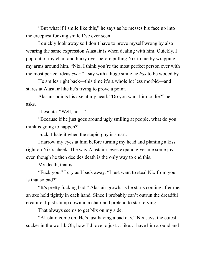"But what if I smile like this," he says as he messes his face up into the creepiest fucking smile I've ever seen.

I quickly look away so I don't have to prove myself wrong by also wearing the same expression Alastair is when dealing with him. Quickly, I pop out of my chair and hurry over before pulling Nix to me by wrapping my arms around him. "Nix, I think you're the most perfect person ever with the most perfect ideas *ever*," I say with a huge smile he *has* to be wooed by.

He smiles right back—this time it's a whole lot less morbid—and stares at Alastair like he's trying to prove a point.

Alastair points his axe at my head. "Do you want him to die?" he asks.

I hesitate. "Well, no—"

"Because if he just goes around ugly smiling at people, what do you think is going to happen?"

Fuck, I hate it when the stupid guy is smart.

I narrow my eyes at him before turning my head and planting a kiss right on Nix's cheek. The way Alastair's eyes expand gives me some joy, even though he then decides death is the only way to end this.

My death, that is.

"Fuck you," I cry as I back away. "I just want to steal Nix from you. Is that so bad?"

"It's pretty fucking bad," Alastair growls as he starts coming after me, an axe held tightly in each hand. Since I probably can't outrun the dreadful creature, I just slump down in a chair and pretend to start crying.

That always seems to get Nix on my side.

"Alastair, come on. He's just having a bad day," Nix says, the cutest sucker in the world. Oh, how I'd love to just… like… have him around and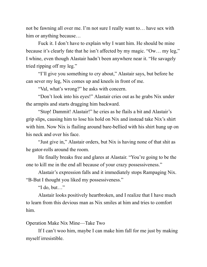not be fawning all over me. I'm not sure I really want to… have sex with him or anything because…

Fuck it. I don't have to explain why I want him. He should be mine because it's clearly fate that he isn't affected by my magic. "Ow… my leg," I whine, even though Alastair hadn't been anywhere near it. "He savagely tried ripping off my leg."

"I'll give you something to cry about," Alastair says, but before he can sever my leg, Nix comes up and kneels in front of me.

"Val, what's wrong?" he asks with concern.

"Don't look into his eyes!" Alastair cries out as he grabs Nix under the armpits and starts dragging him backward.

"Stop! Dammit! Alastair!" he cries as he flails a bit and Alastair's grip slips, causing him to lose his hold on Nix and instead take Nix's shirt with him. Now Nix is flailing around bare-bellied with his shirt hung up on his neck and over his face.

"Just give in," Alastair orders, but Nix is having none of that shit as he gator-rolls around the room.

He finally breaks free and glares at Alastair. "You're going to be the one to kill me in the end all because of your crazy possessiveness."

Alastair's expression falls and it immediately stops Rampaging Nix. "B-But I thought you liked my possessiveness."

"I do, but…"

Alastair looks positively heartbroken, and I realize that I have much to learn from this devious man as Nix smiles at him and tries to comfort him.

## Operation Make Nix Mine—Take Two

If I can't woo him, maybe I can make him fall for me just by making myself irresistible.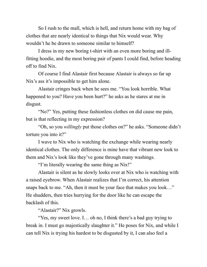So I rush to the mall, which is hell, and return home with my bag of clothes that are nearly identical to things that Nix would wear. Why wouldn't he be drawn to someone similar to himself?

I dress in my new boring t-shirt with an even more boring and illfitting hoodie, and the most boring pair of pants I could find, before heading off to find Nix.

Of course I find Alastair first because Alastair is always so far up Nix's ass it's impossible to get him alone.

Alastair cringes back when he sees me. "You look horrible. What happened to you? Have you been hurt?" he asks as he stares at me in disgust.

"No?" Yes, putting these fashionless clothes on did cause me pain, but is that reflecting in my expression?

"Oh, so you *willingly* put those clothes on?" he asks. "Someone didn't torture you into it?"

I wave to Nix who is watching the exchange while wearing nearly identical clothes. The only difference is mine have that vibrant new look to them and Nix's look like they've gone through many washings.

"I'm literally wearing the same thing as Nix!"

Alastair is silent as he slowly looks over at Nix who is watching with a raised eyebrow. When Alastair realizes that I'm correct, his attention snaps back to me. "Ah, then it must be your face that makes you look…" He shudders, then tries hurrying for the door like he can escape the backlash of this.

"Alastair?" Nix growls.

"Yes, my sweet love. I… oh no, I think there's a bad guy trying to break in. I must go majestically slaughter it." He poses for Nix, and while I can tell Nix is trying his hardest to be disgusted by it, I can also feel a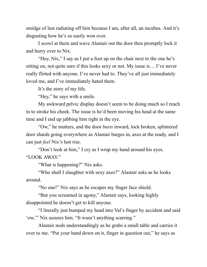smidge of lust radiating off him because I am, after all, an incubus. And it's disgusting how he's so easily won over.

I scowl at them and wave Alastair out the door then promptly lock it and hurry over to Nix.

"Hey, Nix," I say as I put a foot up on the chair next to the one he's sitting on, not quite sure if this looks sexy or not. My issue is… I've never really flirted with anyone. I've never had to. They've all just immediately loved me, and I've immediately hated them.

It's the story of my life.

"Hey," he says with a smile.

My awkward pelvic display doesn't seem to be doing much so I reach in to stroke his cheek. The issue is he'd been moving his head at the same time and I end up jabbing him right in the eye.

"Ow," he mutters, and the door *busts* inward, lock broken, splintered door shards going everywhere as Alastair barges in, axes at the ready, and I can just *feel* Nix's lust rise.

"Don't look at him," I cry as I wrap my hand around his eyes. "LOOK AWAY."

"What is happening?" Nix asks.

"Who shall I slaughter with sexy axes?" Alastair asks as he looks around.

"No one!" Nix says as he escapes my finger face shield.

"But you screamed in agony," Alastair says, looking highly disappointed he doesn't get to kill anyone.

"I literally just bumped my head into Val's finger by accident and said 'ow,'" Nix assures him. "It wasn't anything scarring."

Alastair nods understandingly as he grabs a small table and carries it over to me. "Put your hand down on it, finger in question out," he says as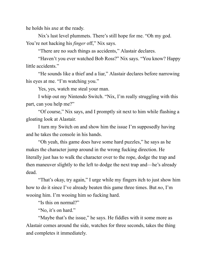he holds his axe at the ready.

Nix's lust level plummets. There's still hope for me. "Oh my god. You're not hacking his *finger* off," Nix says.

"There are no such things as accidents," Alastair declares.

"Haven't you ever watched Bob Ross?" Nix says. "You know? Happy little accidents."

"He sounds like a thief and a liar," Alastair declares before narrowing his eyes at me. "I'm watching you."

Yes, yes, watch me steal your man.

I whip out my Nintendo Switch. "Nix, I'm really struggling with this part, can you help me?"

"Of course," Nix says, and I promptly sit next to him while flashing a gloating look at Alastair.

I turn my Switch on and show him the issue I'm supposedly having and he takes the console in his hands.

"Oh yeah, this game does have some hard puzzles," he says as he makes the character jump around in the wrong fucking direction. He literally just has to walk the character over to the rope, dodge the trap and then maneuver slightly to the left to dodge the next trap and—he's already dead.

"That's okay, try again," I urge while my fingers itch to just show him how to do it since I've already beaten this game three times. But *no*, I'm wooing him. I'm wooing him so fucking hard.

"Is this on normal?"

"No, it's on hard."

"Maybe that's the issue," he says. He fiddles with it some more as Alastair comes around the side, watches for three seconds, takes the thing and completes it immediately.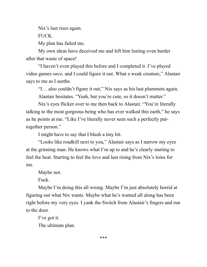Nix's lust rises again.

FUCK.

My plan has failed me.

My own ideas have deceived me and left him lusting even harder after that waste of space!

"I haven't even played this before and I completed it. I've played video games *once,* and I could figure it out. What a weak creature," Alastair says to me as I seethe.

"I… also couldn't figure it out," Nix says as his lust plummets again. Alastair hesitates. "Yeah, but you're cute, so it doesn't matter."

Nix's eyes flicker over to me then back to Alastair. "You're literally talking to the most gorgeous being who has ever walked this earth," he says as he points at me. "Like I've literally never seen such a perfectly puttogether person."

I might have to say that I blush a tiny bit.

"Looks like roadkill next to you," Alastair says as I narrow my eyes at the grinning man. He knows what I'm up to and he's clearly starting to feel the heat. Starting to feel the love and lust rising from Nix's loins for me.

Maybe not.

Fuck.

Maybe I'm doing this all wrong. Maybe I'm just absolutely horrid at figuring out what Nix wants. Maybe what he's wanted all along has been right before my very eyes. I yank the Switch from Alastair's fingers and run to the door.

I've got it.

The ultimate plan.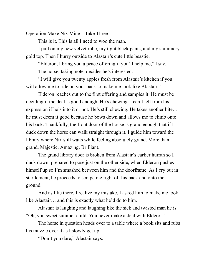Operation Make Nix Mine—Take Three

This is it. This is all I need to woo the man.

I pull on my new velvet robe, my tight black pants, and my shimmery gold top. Then I hurry outside to Alastair's cute little beastie.

"Elderon, I bring you a peace offering if you'll help me," I say.

The horse, taking note, decides he's interested.

"I will give you twenty apples fresh from Alastair's kitchen if you will allow me to ride on your back to make me look like Alastair."

Elderon reaches out to the first offering and samples it. He must be deciding if the deal is good enough. He's chewing. I can't tell from his expression if he's into it or not. He's still chewing. He takes another bite… he must deem it good because he bows down and allows me to climb onto his back. Thankfully, the front door of the house is grand enough that if I duck down the horse can walk straight through it. I guide him toward the library where Nix still waits while feeling absolutely grand. More than grand. Majestic. Amazing. Brilliant.

The grand library door is broken from Alastair's earlier hurrah so I duck down, prepared to pose just on the other side, when Elderon pushes himself up so I'm smashed between him and the doorframe. As I cry out in startlement, he proceeds to scrape me right off his back and onto the ground.

And as I lie there, I realize my mistake. I asked him to make me look like Alastair… and this is exactly what he'd do to him.

Alastair is laughing and laughing like the sick and twisted man he is. "Oh, you sweet summer child. You never make a deal with Elderon."

The horse in question heads over to a table where a book sits and rubs his muzzle over it as I slowly get up.

"Don't you dare," Alastair says.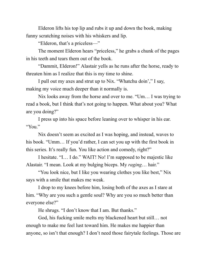Elderon lifts his top lip and rubs it up and down the book, making funny scratching noises with his whiskers and lip.

"Elderon, that's a priceless—"

The moment Elderon hears "priceless," he grabs a chunk of the pages in his teeth and tears them out of the book.

"Dammit, Elderon!" Alastair yells as he runs after the horse, ready to threaten him as I realize that this is my time to shine.

I pull out my axes and strut up to Nix. "Whatchu doin'," I say, making my voice much deeper than it normally is.

Nix looks away from the horse and over to me. "Um… I was trying to read a book, but I think that's not going to happen. What about you? What are you doing?"

I press up into his space before leaning over to whisper in his ear. "You."

Nix doesn't seem as excited as I was hoping, and instead, waves to his book. "Umm… If you'd rather, I can set you up with the first book in this series. It's really fun. You like action and comedy, right?"

I hesitate. "I… I do." WAIT! No! I'm supposed to be majestic like Alastair. "I mean. Look at my bulging biceps. My *raging*… hair."

"You look nice, but I like you wearing clothes you like best," Nix says with a smile that makes me weak.

I drop to my knees before him, losing both of the axes as I stare at him. "Why are you such a gentle soul? Why are you so much better than everyone else?"

He shrugs. "I don't know that I am. But thanks."

God, his fucking smile melts my blackened heart but still… not enough to make me feel lust toward him. He makes me happier than anyone, so isn't that enough? I don't need those fairytale feelings. Those are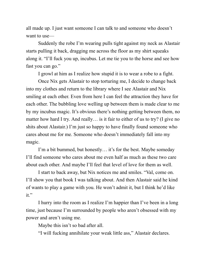all made up. I just want someone I can talk to and someone who doesn't want to use—

Suddenly the robe I'm wearing pulls tight against my neck as Alastair starts pulling it back, dragging me across the floor as my shirt squeaks along it. "I'll fuck you up, incubus. Let me tie you to the horse and see how fast you can go."

I growl at him as I realize how stupid it is to wear a robe to a fight.

Once Nix gets Alastair to stop torturing me, I decide to change back into my clothes and return to the library where I see Alastair and Nix smiling at each other. Even from here I can feel the attraction they have for each other. The bubbling love welling up between them is made clear to me by my incubus magic. It's obvious there's nothing getting between them, no matter how hard I try. And really… is it fair to either of us to try? (I give no shits about Alastair.) I'm just so happy to have finally found someone who cares about me for me. Someone who doesn't immediately fall into my magic.

I'm a bit bummed, but honestly… it's for the best. Maybe someday I'll find someone who cares about me even half as much as these two care about each other. And maybe I'll feel that level of love for them as well.

I start to back away, but Nix notices me and smiles. "Val, come on. I'll show you that book I was talking about. And then Alastair said he kind of wants to play a game with you. He won't admit it, but I think he'd like it."

I hurry into the room as I realize I'm happier than I've been in a long time, just because I'm surrounded by people who aren't obsessed with my power and aren't using me.

Maybe this isn't so bad after all.

"I will fucking annihilate your weak little ass," Alastair declares.